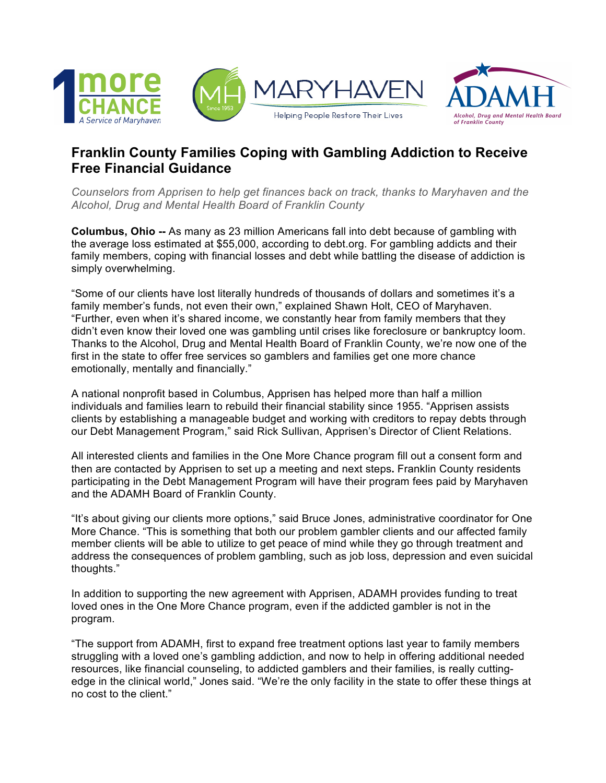



## **Franklin County Families Coping with Gambling Addiction to Receive Free Financial Guidance**

*Counselors from Apprisen to help get finances back on track, thanks to Maryhaven and the Alcohol, Drug and Mental Health Board of Franklin County*

**Columbus, Ohio --** As many as 23 million Americans fall into debt because of gambling with the average loss estimated at \$55,000, according to debt.org. For gambling addicts and their family members, coping with financial losses and debt while battling the disease of addiction is simply overwhelming.

"Some of our clients have lost literally hundreds of thousands of dollars and sometimes it's a family member's funds, not even their own," explained Shawn Holt, CEO of Maryhaven. "Further, even when it's shared income, we constantly hear from family members that they didn't even know their loved one was gambling until crises like foreclosure or bankruptcy loom. Thanks to the Alcohol, Drug and Mental Health Board of Franklin County, we're now one of the first in the state to offer free services so gamblers and families get one more chance emotionally, mentally and financially."

A national nonprofit based in Columbus, Apprisen has helped more than half a million individuals and families learn to rebuild their financial stability since 1955. "Apprisen assists clients by establishing a manageable budget and working with creditors to repay debts through our Debt Management Program," said Rick Sullivan, Apprisen's Director of Client Relations.

All interested clients and families in the One More Chance program fill out a consent form and then are contacted by Apprisen to set up a meeting and next steps**.** Franklin County residents participating in the Debt Management Program will have their program fees paid by Maryhaven and the ADAMH Board of Franklin County.

"It's about giving our clients more options," said Bruce Jones, administrative coordinator for One More Chance. "This is something that both our problem gambler clients and our affected family member clients will be able to utilize to get peace of mind while they go through treatment and address the consequences of problem gambling, such as job loss, depression and even suicidal thoughts."

In addition to supporting the new agreement with Apprisen, ADAMH provides funding to treat loved ones in the One More Chance program, even if the addicted gambler is not in the program.

"The support from ADAMH, first to expand free treatment options last year to family members struggling with a loved one's gambling addiction, and now to help in offering additional needed resources, like financial counseling, to addicted gamblers and their families, is really cuttingedge in the clinical world," Jones said. "We're the only facility in the state to offer these things at no cost to the client."